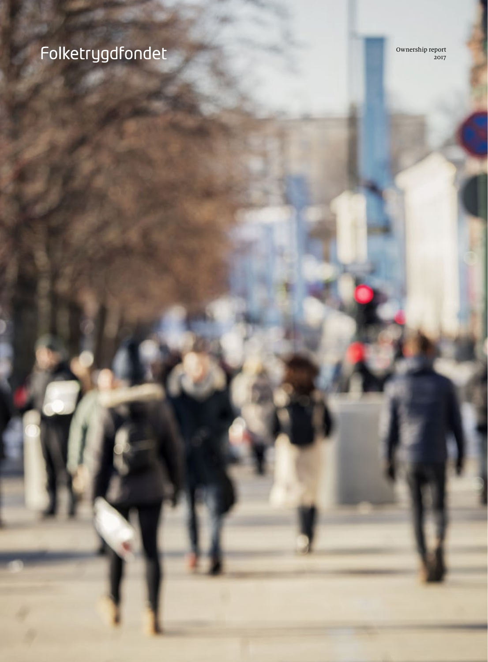# Folketrygdfondet

Ownership report 2017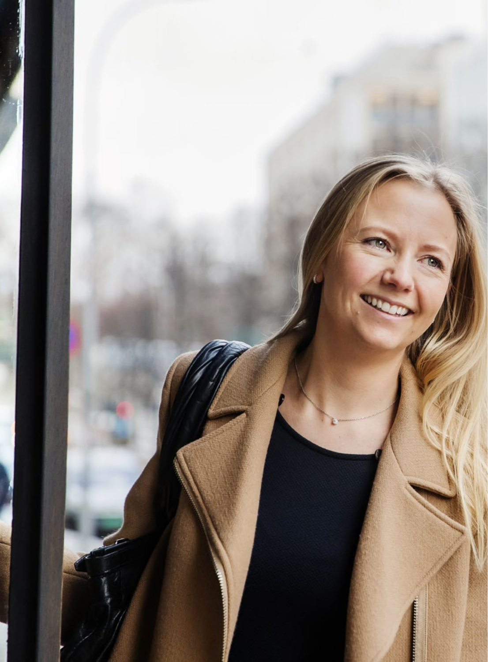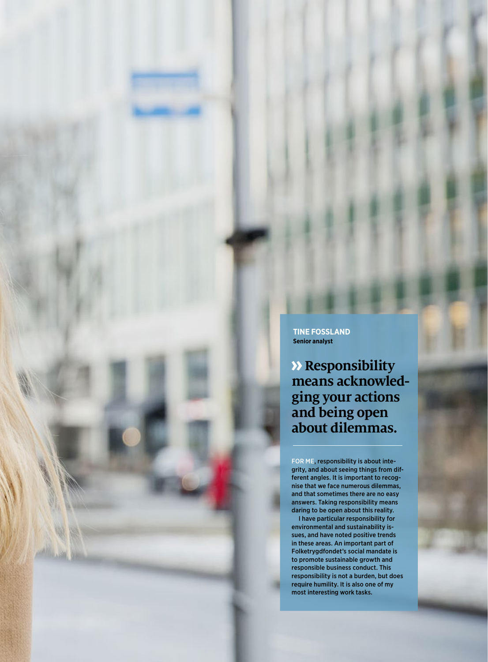**TINE FOSSLAND Senior analyst**

 **Responsibility means acknowledging your actions and being open about dilemmas.**

**Resultat for 2013** Verdipapirutlån Avkastning 1998-2013

FOR ME, responsibility is about integrity, and about seeing things from different angles. It is important to recognise that we face numerous dilemmas, and that sometimes there are no easy answers. Taking responsibility means daring to be open about this reality.

I have particular responsibility for environmental and sustainability issues, and have noted positive trends in these areas. An important part of Folketrygdfondet's social mandate is to promote sustainable growth and responsible business conduct. This responsibility is not a burden, but does require humility. It is also one of my most interesting work tasks.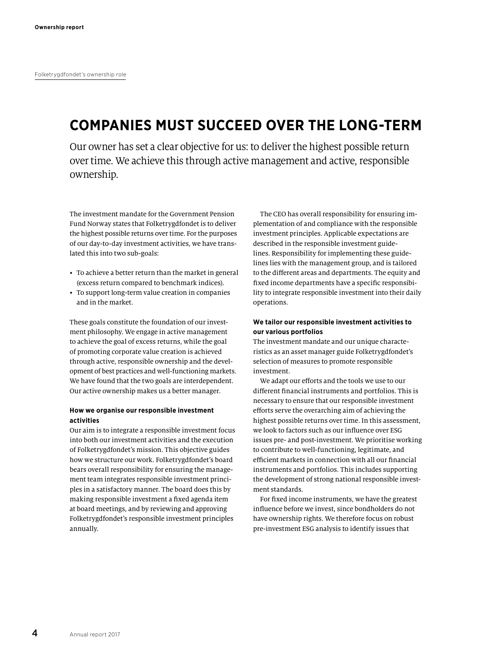### **COMPANIES MUST SUCCEED OVER THE LONG-TERM**

Our owner has set a clear objective for us: to deliver the highest possible return over time. We achieve this through active management and active, responsible ownership.

The investment mandate for the Government Pension Fund Norway states that Folketrygdfondet is to deliver the highest possible returns over time. For the purposes of our day-to-day investment activities, we have translated this into two sub-goals:

- To achieve a better return than the market in general (excess return compared to benchmark indices).
- To support long-term value creation in companies and in the market.

These goals constitute the foundation of our investment philosophy. We engage in active management to achieve the goal of excess returns, while the goal of promoting corporate value creation is achieved through active, responsible ownership and the development of best practices and well-functioning markets. We have found that the two goals are interdependent. Our active ownership makes us a better manager.

#### **How we organise our responsible investment activities**

Our aim is to integrate a responsible investment focus into both our investment activities and the execution of Folketrygdfondet's mission. This objective guides how we structure our work. Folketrygdfondet's board bears overall responsibility for ensuring the management team integrates responsible investment principles in a satisfactory manner. The board does this by making responsible investment a fixed agenda item at board meetings, and by reviewing and approving Folketrygdfondet's responsible investment principles annually.

The CEO has overall responsibility for ensuring implementation of and compliance with the responsible investment principles. Applicable expectations are described in the responsible investment guidelines. Responsibility for implementing these guidelines lies with the management group, and is tailored to the different areas and departments. The equity and fixed income departments have a specific responsibility to integrate responsible investment into their daily operations.

#### **We tailor our responsible investment activities to our various portfolios**

The investment mandate and our unique characteristics as an asset manager guide Folketrygdfondet's selection of measures to promote responsible investment.

We adapt our efforts and the tools we use to our different financial instruments and portfolios. This is necessary to ensure that our responsible investment efforts serve the overarching aim of achieving the highest possible returns over time. In this assessment, we look to factors such as our influence over ESG issues pre- and post-investment. We prioritise working to contribute to well-functioning, legitimate, and efficient markets in connection with all our financial instruments and portfolios. This includes supporting the development of strong national responsible investment standards.

For fixed income instruments, we have the greatest influence before we invest, since bondholders do not have ownership rights. We therefore focus on robust pre-investment ESG analysis to identify issues that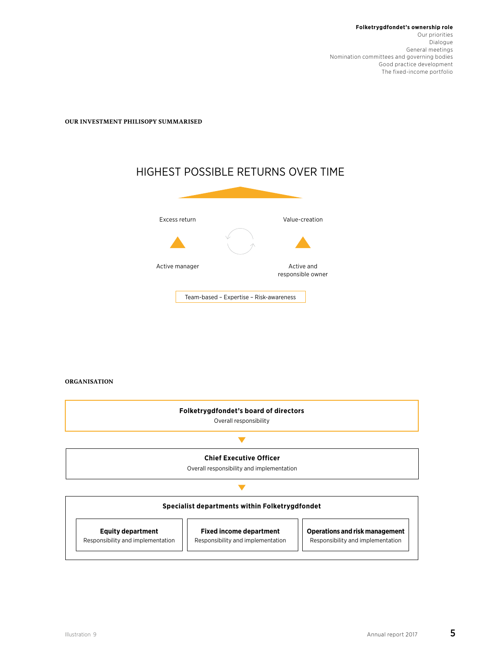**Folketrygdfondet's ownership role** Our priorities .<br>Dialogue General meetings Nomination committees and governing bodies Good practice development The fixed-income portfolio

#### **OUR INVESTMENT PHILISOPY SUMMARISED**

### HIGHEST POSSIBLE RETURNS OVER TIME



#### **ORGANISATION**

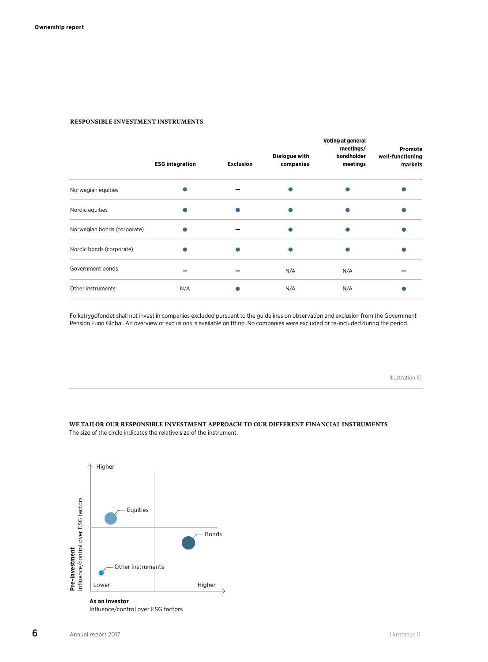#### **RESPONSIBLE INVESTMENT INSTRUMENTS**

|                             | <b>ESG integration</b> | <b>Exclusion</b> | Dialogue with<br>companies | Voting at general<br>meetings/<br>bondholder<br>meetings | Promote<br>well-functioning<br>markets |
|-----------------------------|------------------------|------------------|----------------------------|----------------------------------------------------------|----------------------------------------|
| Norwegian equities          |                        |                  |                            |                                                          |                                        |
| Nordic equities             |                        |                  |                            |                                                          |                                        |
| Norwegian bonds (corporate) |                        |                  |                            |                                                          |                                        |
| Nordic bonds (corporate)    |                        |                  |                            |                                                          |                                        |
| Government bonds            |                        |                  | N/A                        | N/A                                                      |                                        |
| Other instruments           | N/A                    |                  | N/A                        | N/A                                                      |                                        |

Folketrygdfondet shall not invest in companies excluded pursuant to the guidelines on observation and exclusion from the Government Pension Fund Global. An overview of exclusions is available on ftf.no. No companies were excluded or re-included during the period.

Illustration 10

**WE TAILOR OUR RESPONSIBLE INVESTMENT APPROACH TO OUR DIFFERENT FINANCIAL INSTRUMENTS** The size of the circle indicates the relative size of the instrument.



**As an investor** Influence/control over ESG factors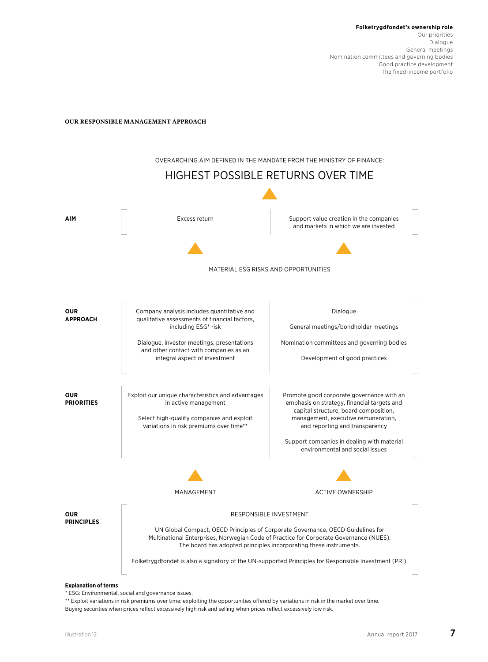#### **OUR RESPONSIBLE MANAGEMENT APPROACH**

OVERARCHING AIM DEFINED IN THE MANDATE FROM THE MINISTRY OF FINANCE:

### HIGHEST POSSIBLE RETURNS OVER TIME



\* ESG: Environmental, social and governance issues.

\*\* Exploit variations in risk premiums over time: exploiting the opportunities offered by variations in risk in the market over time. Buying securities when prices reflect excessively high risk and selling when prices reflect excessively low risk.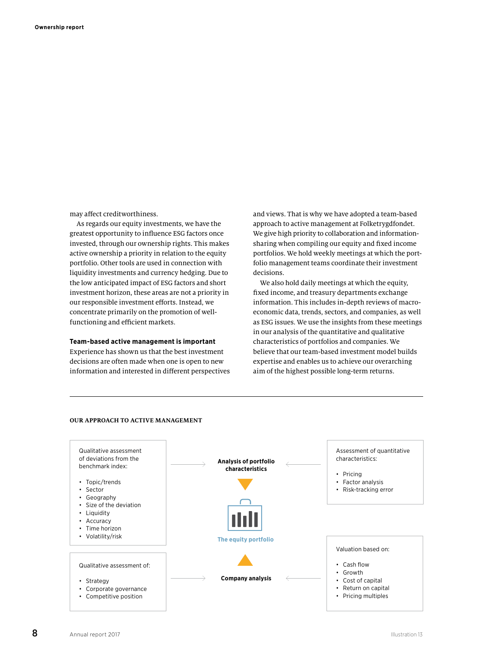may affect creditworthiness.

As regards our equity investments, we have the greatest opportunity to influence ESG factors once invested, through our ownership rights. This makes active ownership a priority in relation to the equity portfolio. Other tools are used in connection with liquidity investments and currency hedging. Due to the low anticipated impact of ESG factors and short investment horizon, these areas are not a priority in our responsible investment efforts. Instead, we concentrate primarily on the promotion of wellfunctioning and efficient markets.

#### **Team-based active management is important**

Experience has shown us that the best investment decisions are often made when one is open to new information and interested in different perspectives and views. That is why we have adopted a team-based approach to active management at Folketrygdfondet. We give high priority to collaboration and informationsharing when compiling our equity and fixed income portfolios. We hold weekly meetings at which the portfolio management teams coordinate their investment decisions.

We also hold daily meetings at which the equity, fixed income, and treasury departments exchange information. This includes in-depth reviews of macroeconomic data, trends, sectors, and companies, as well as ESG issues. We use the insights from these meetings in our analysis of the quantitative and qualitative characteristics of portfolios and companies. We believe that our team-based investment model builds expertise and enables us to achieve our overarching aim of the highest possible long-term returns.



#### **OUR APPROACH TO ACTIVE MANAGEMENT**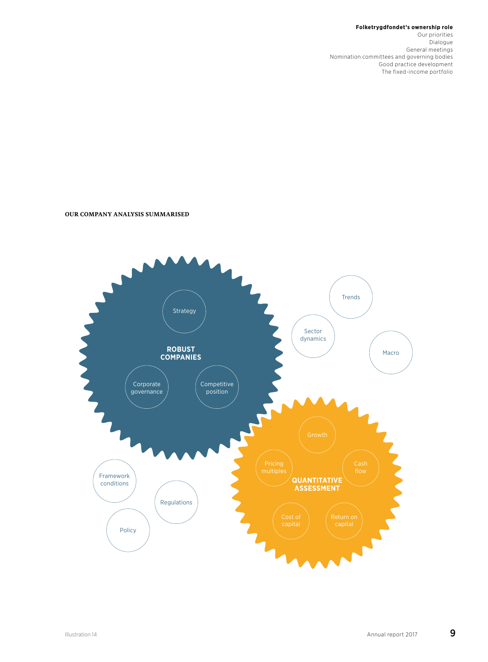### **Folketrygdfondet's ownership role**

 Our priorities Dialogue General meetings Nomination committees and governing bodies Good practice development The fixed-income portfolio

**OUR COMPANY ANALYSIS SUMMARISED**

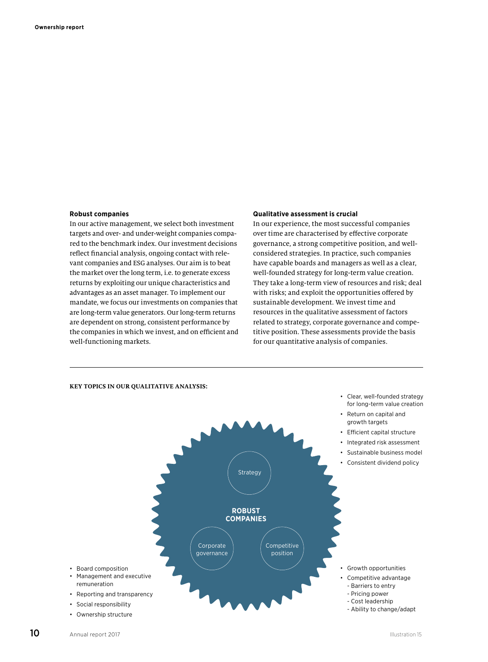#### **Robust companies**

In our active management, we select both investment targets and over- and under-weight companies compared to the benchmark index. Our investment decisions reflect financial analysis, ongoing contact with relevant companies and ESG analyses. Our aim is to beat the market over the long term, i.e. to generate excess returns by exploiting our unique characteristics and advantages as an asset manager. To implement our mandate, we focus our investments on companies that are long-term value generators. Our long-term returns are dependent on strong, consistent performance by the companies in which we invest, and on efficient and well-functioning markets.

#### **Qualitative assessment is crucial**

In our experience, the most successful companies over time are characterised by effective corporate governance, a strong competitive position, and wellconsidered strategies. In practice, such companies have capable boards and managers as well as a clear, well-founded strategy for long-term value creation. They take a long-term view of resources and risk; deal with risks; and exploit the opportunities offered by sustainable development. We invest time and resources in the qualitative assessment of factors related to strategy, corporate governance and competitive position. These assessments provide the basis for our quantitative analysis of companies.

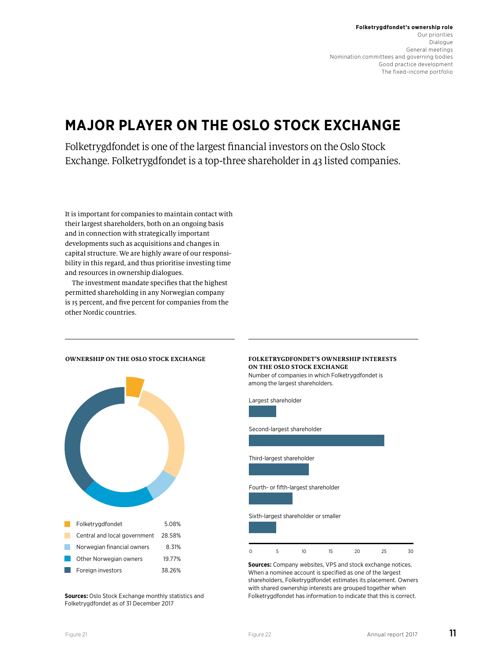# **MAJOR PLAYER ON THE OSLO STOCK EXCHANGE**

Folketrygdfondet is one of the largest financial investors on the Oslo Stock Exchange. Folketrygdfondet is a top-three shareholder in 43 listed companies.

It is important for companies to maintain contact with their largest shareholders, both on an ongoing basis and in connection with strategically important developments such as acquisitions and changes in capital structure. We are highly aware of our responsibility in this regard, and thus prioritise investing time and resources in ownership dialogues.

The investment mandate specifies that the highest permitted shareholding in any Norwegian company is 15 percent, and five percent for companies from the other Nordic countries.



**Sources:** Oslo Stock Exchange monthly statistics and Folketrygdfondet as of 31 December 2017

### **FOLKETRYGDFONDET'S OWNERSHIP INTERESTS ON THE OSLO STOCK EXCHANGE**

Number of companies in which Folketrygdfondet is among the largest shareholders.



**Sources:** Company websites, VPS and stock exchange notices. When a nominee account is specified as one of the largest shareholders, Folketrygdfondet estimates its placement. Owners with shared ownership interests are grouped together when Folketrygdfondet has information to indicate that this is correct.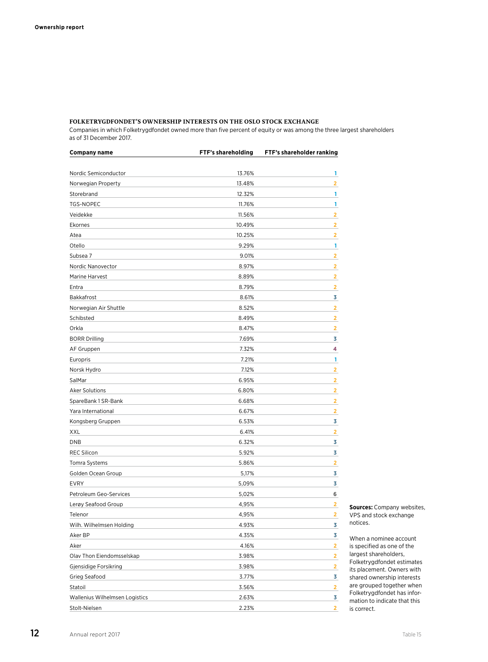#### **FOLKETRYGDFONDET'S OWNERSHIP INTERESTS ON THE OSLO STOCK EXCHANGE**

Companies in which Folketrygdfondet owned more than five percent of equity or was among the three largest shareholders as of 31 December 2017.

| Company name                   | <b>FTF's shareholding</b> | FTF's shareholder ranking |
|--------------------------------|---------------------------|---------------------------|
|                                |                           |                           |
| Nordic Semiconductor           | 13.76%                    | 1                         |
| Norwegian Property             | 13.48%                    | 2                         |
| Storebrand                     | 12.32%                    | 1                         |
| TGS-NOPEC                      | 11.76%                    | 1                         |
| Veidekke                       | 11.56%                    | 2                         |
| Ekornes                        | 10.49%                    | 2                         |
| Atea                           | 10.25%                    | 2                         |
| Otello                         | 9.29%                     | 1                         |
| Subsea 7                       | 9.01%                     | 2                         |
| Nordic Nanovector              | 8.97%                     | 2                         |
| Marine Harvest                 | 8.89%                     | 2                         |
| Entra                          | 8.79%                     | 2                         |
| Bakkafrost                     | 8.61%                     | 3                         |
| Norwegian Air Shuttle          | 8.52%                     | 2                         |
| Schibsted                      | 8.49%                     | 2                         |
| Orkla                          | 8.47%                     | 2                         |
| <b>BORR Drilling</b>           | 7.69%                     | 3                         |
| AF Gruppen                     | 7.32%                     | 4                         |
| Europris                       | 7.21%                     | 1                         |
| Norsk Hydro                    | 7.12%                     | 2                         |
| SalMar                         | 6.95%                     | 2                         |
| <b>Aker Solutions</b>          | 6.80%                     | 2                         |
| SpareBank 1 SR-Bank            | 6.68%                     | 2                         |
| Yara International             | 6.67%                     | 2                         |
| Kongsberg Gruppen              | 6.53%                     | 3                         |
| <b>XXL</b>                     | 6.41%                     | 2                         |
| <b>DNB</b>                     | 6.32%                     | 3                         |
| <b>REC Silicon</b>             | 5.92%                     | 3                         |
| Tomra Systems                  | 5.86%                     | 2                         |
| Golden Ocean Group             | 5,17%                     | 3                         |
| <b>EVRY</b>                    | 5,09%                     | 3                         |
| Petroleum Geo-Services         | 5,02%                     | 6                         |
| Lerøy Seafood Group            | 4,95%                     | 2                         |
| Telenor                        | 4,95%                     | 2                         |
| Wilh. Wilhelmsen Holding       | 4.93%                     | 3                         |
| Aker BP                        | 4.35%                     | 3                         |
| Aker                           | 4.16%                     | 2                         |
| Olav Thon Eiendomsselskap      | 3.98%                     | $\overline{\mathbf{2}}$   |
| Gjensidige Forsikring          | 3.98%                     | $\overline{\mathbf{2}}$   |
| Grieg Seafood                  | 3.77%                     | 3                         |
| Statoil                        | 3.56%                     | 2                         |
| Wallenius Wilhelmsen Logistics | 2.63%                     | 3                         |
| Stolt-Nielsen                  | 2.23%                     | 2                         |

**Sources:** Company websites, VPS and stock exchange notices.

When a nominee account is specified as one of the largest shareholders, Folketrygdfondet estimates its placement. Owners with shared ownership interests are grouped together when Folketrygdfondet has information to indicate that this is correct.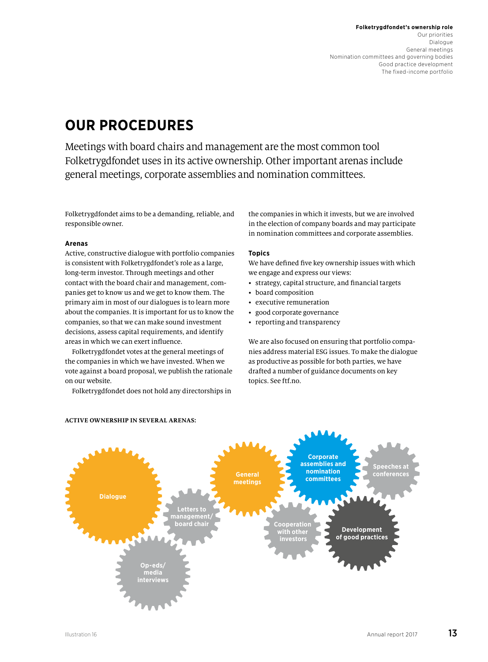# **OUR PROCEDURES**

Meetings with board chairs and management are the most common tool Folketrygdfondet uses in its active ownership. Other important arenas include general meetings, corporate assemblies and nomination committees.

Folketrygdfondet aims to be a demanding, reliable, and responsible owner.

#### **Arenas**

Active, constructive dialogue with portfolio companies is consistent with Folketrygdfondet's role as a large, long-term investor. Through meetings and other contact with the board chair and management, companies get to know us and we get to know them. The primary aim in most of our dialogues is to learn more about the companies. It is important for us to know the companies, so that we can make sound investment decisions, assess capital requirements, and identify areas in which we can exert influence.

Folketrygdfondet votes at the general meetings of the companies in which we have invested. When we vote against a board proposal, we publish the rationale on our website.

Folketrygdfondet does not hold any directorships in

the companies in which it invests, but we are involved in the election of company boards and may participate in nomination committees and corporate assemblies.

### **Topics**

We have defined five key ownership issues with which we engage and express our views:

- strategy, capital structure, and financial targets
- board composition
- executive remuneration
- good corporate governance
- reporting and transparency

We are also focused on ensuring that portfolio companies address material ESG issues. To make the dialogue as productive as possible for both parties, we have drafted a number of guidance documents on key topics. See ftf.no.



#### **ACTIVE OWNERSHIP IN SEVERAL ARENAS:**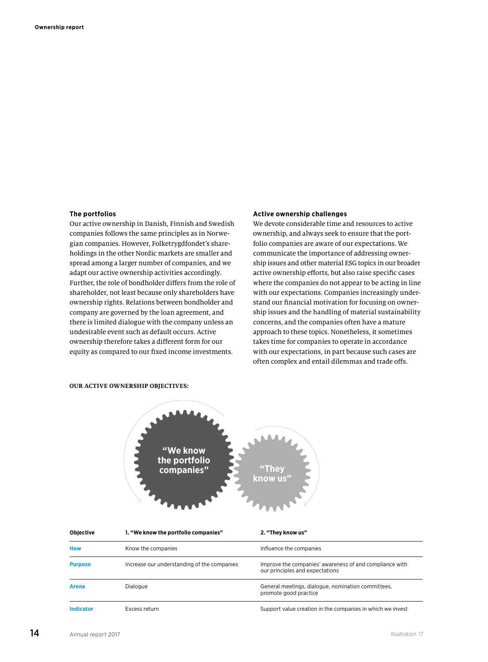#### **The portfolios**

Our active ownership in Danish, Finnish and Swedish companies follows the same principles as in Norwegian companies. However, Folketrygdfondet's shareholdings in the other Nordic markets are smaller and spread among a larger number of companies, and we adapt our active ownership activities accordingly. Further, the role of bondholder differs from the role of shareholder, not least because only shareholders have ownership rights. Relations between bondholder and company are governed by the loan agreement, and there is limited dialogue with the company unless an undesirable event such as default occurs. Active ownership therefore takes a different form for our equity as compared to our fixed income investments.

#### **Active ownership challenges**

We devote considerable time and resources to active ownership, and always seek to ensure that the portfolio companies are aware of our expectations. We communicate the importance of addressing ownership issues and other material ESG topics in our broader active ownership efforts, but also raise specific cases where the companies do not appear to be acting in line with our expectations. Companies increasingly understand our financial motivation for focusing on ownership issues and the handling of material sustainability concerns, and the companies often have a mature approach to these topics. Nonetheless, it sometimes takes time for companies to operate in accordance with our expectations, in part because such cases are often complex and entail dilemmas and trade offs.



| <b>Objective</b> | 1. "We know the portfolio companies"        | 2. "They know us"                                                                          |
|------------------|---------------------------------------------|--------------------------------------------------------------------------------------------|
| <b>How</b>       | Know the companies                          | Influence the companies                                                                    |
| <b>Purpose</b>   | Increase our understanding of the companies | Improve the companies' awareness of and compliance with<br>our principles and expectations |
| <b>Arena</b>     | Dialogue                                    | General meetings, dialogue, nomination committees,<br>promote good practice                |
| Indicator        | Excess return                               | Support value creation in the companies in which we invest                                 |

#### **OUR ACTIVE OWNERSHIP OBJECTIVES:**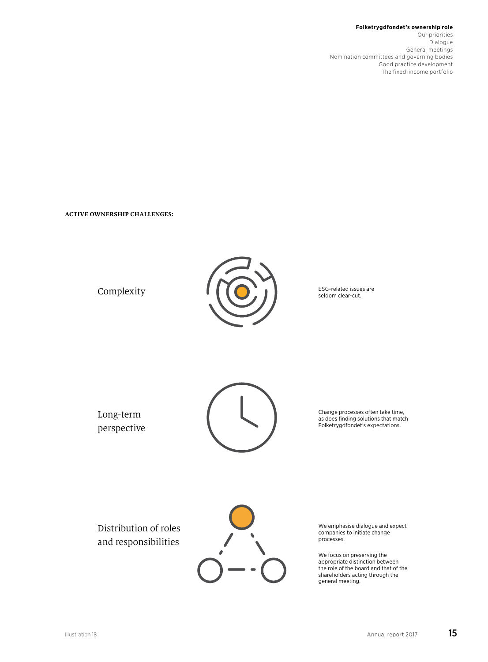#### **Folketrygdfondet's ownership role**

 Our priorities .<br>Dialogue General meetings Nomination committees and governing bodies Good practice development The fixed-income portfolio

**ACTIVE OWNERSHIP CHALLENGES:**

Complexity



ESG-related issues are<br>seldom clear-cut.

Long-term perspective



Change processes often take time, as does finding solutions that match Folketrygdfondet's expectations.

Distribution of roles and responsibilities



We emphasise dialogue and expect companies to initiate change processes.

We focus on preserving the appropriate distinction between the role of the board and that of the shareholders acting through the general meeting.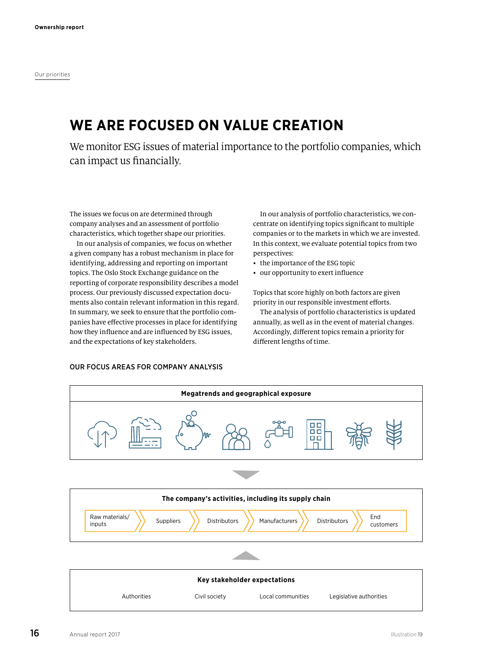# **WE ARE FOCUSED ON VALUE CREATION**

We monitor ESG issues of material importance to the portfolio companies, which can impact us financially.

The issues we focus on are determined through company analyses and an assessment of portfolio characteristics, which together shape our priorities.

In our analysis of companies, we focus on whether a given company has a robust mechanism in place for identifying, addressing and reporting on important topics. The Oslo Stock Exchange guidance on the reporting of corporate responsibility describes a model process. Our previously discussed expectation documents also contain relevant information in this regard. In summary, we seek to ensure that the portfolio companies have effective processes in place for identifying how they influence and are influenced by ESG issues, and the expectations of key stakeholders.

In our analysis of portfolio characteristics, we concentrate on identifying topics significant to multiple companies or to the markets in which we are invested. In this context, we evaluate potential topics from two perspectives:

- the importance of the ESG topic
- our opportunity to exert influence

Topics that score highly on both factors are given priority in our responsible investment efforts.

The analysis of portfolio characteristics is updated annually, as well as in the event of material changes. Accordingly, different topics remain a priority for different lengths of time.



#### OUR FOCUS AREAS FOR COMPANY ANALYSIS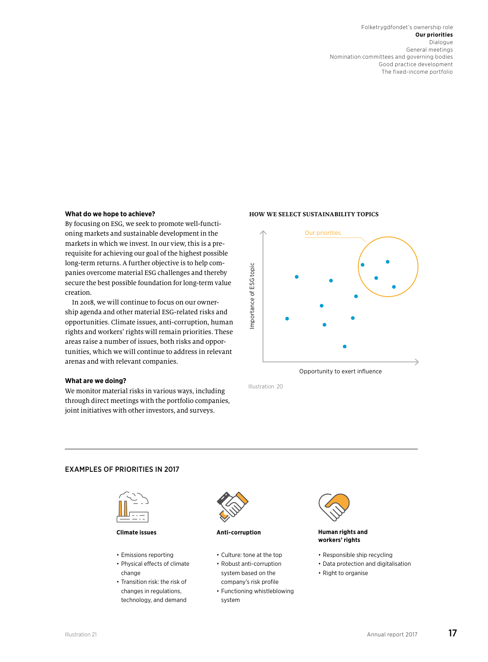#### **What do we hope to achieve?**

By focusing on ESG, we seek to promote well-functioning markets and sustainable development in the markets in which we invest. In our view, this is a prerequisite for achieving our goal of the highest possible long-term returns. A further objective is to help companies overcome material ESG challenges and thereby secure the best possible foundation for long-term value creation.

In 2018, we will continue to focus on our ownership agenda and other material ESG-related risks and opportunities. Climate issues, anti-corruption, human rights and workers' rights will remain priorities. These areas raise a number of issues, both risks and opportunities, which we will continue to address in relevant arenas and with relevant companies.

#### **What are we doing?**

We monitor material risks in various ways, including through direct meetings with the portfolio companies, joint initiatives with other investors, and surveys.

#### **HOW WE SELECT SUSTAINABILITY TOPICS**



Illustration 20

#### EXAMPLES OF PRIORITIES IN 2017



- Emissions reporting
- Physical effects of climate change
- Transition risk: the risk of changes in regulations, technology, and demand



#### **Climate issues Anti-corruption Human rights and**

- Culture: tone at the top
- Robust anti-corruption system based on the company's risk profile
- Functioning whistleblowing system



### **workers' rights**

- Responsible ship recycling
- Data protection and digitalisation
- Right to organise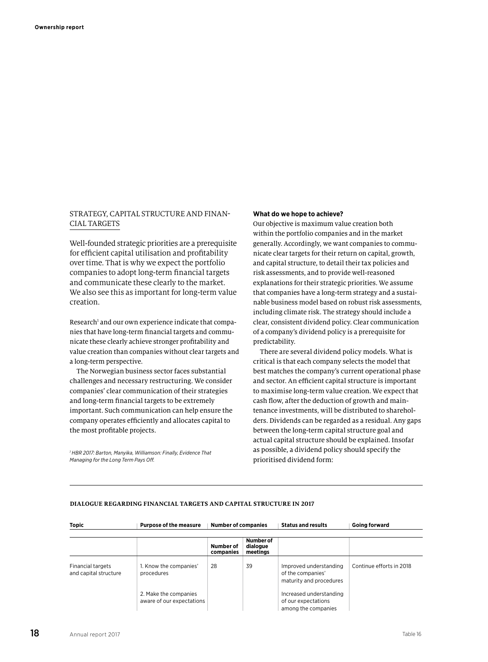### STRATEGY, CAPITAL STRUCTURE AND FINAN-CIAL TARGETS

Well-founded strategic priorities are a prerequisite for efficient capital utilisation and profitability over time. That is why we expect the portfolio companies to adopt long-term financial targets and communicate these clearly to the market. We also see this as important for long-term value creation.

Research<sup>1</sup> and our own experience indicate that companies that have long-term financial targets and communicate these clearly achieve stronger profitability and value creation than companies without clear targets and a long-term perspective.

The Norwegian business sector faces substantial challenges and necessary restructuring. We consider companies' clear communication of their strategies and long-term financial targets to be extremely important. Such communication can help ensure the company operates efficiently and allocates capital to the most profitable projects.

*1 HBR 2017: Barton, Manyika, Williamson: Finally, Evidence That Managing for the Long Term Pays Off.*

#### **What do we hope to achieve?**

Our objective is maximum value creation both within the portfolio companies and in the market generally. Accordingly, we want companies to communicate clear targets for their return on capital, growth, and capital structure, to detail their tax policies and risk assessments, and to provide well-reasoned explanations for their strategic priorities. We assume that companies have a long-term strategy and a sustainable business model based on robust risk assessments, including climate risk. The strategy should include a clear, consistent dividend policy. Clear communication of a company's dividend policy is a prerequisite for predictability.

There are several dividend policy models. What is critical is that each company selects the model that best matches the company's current operational phase and sector. An efficient capital structure is important to maximise long-term value creation. We expect that cash flow, after the deduction of growth and maintenance investments, will be distributed to shareholders. Dividends can be regarded as a residual. Any gaps between the long-term capital structure goal and actual capital structure should be explained. Insofar as possible, a dividend policy should specify the prioritised dividend form:

| Topic                                      | <b>Number of companies</b><br><b>Purpose of the measure</b> |                        |                                   |                                                                        |                          | <b>Status and results</b> | <b>Going forward</b> |
|--------------------------------------------|-------------------------------------------------------------|------------------------|-----------------------------------|------------------------------------------------------------------------|--------------------------|---------------------------|----------------------|
|                                            |                                                             | Number of<br>companies | Number of<br>dialogue<br>meetings |                                                                        |                          |                           |                      |
| Financial targets<br>and capital structure | 1. Know the companies'<br>procedures                        | 28                     | 39                                | Improved understanding<br>of the companies'<br>maturity and procedures | Continue efforts in 2018 |                           |                      |
|                                            | 2. Make the companies<br>aware of our expectations          |                        |                                   | Increased understanding<br>of our expectations<br>among the companies  |                          |                           |                      |

#### **DIALOGUE REGARDING FINANCIAL TARGETS AND CAPITAL STRUCTURE IN 2017**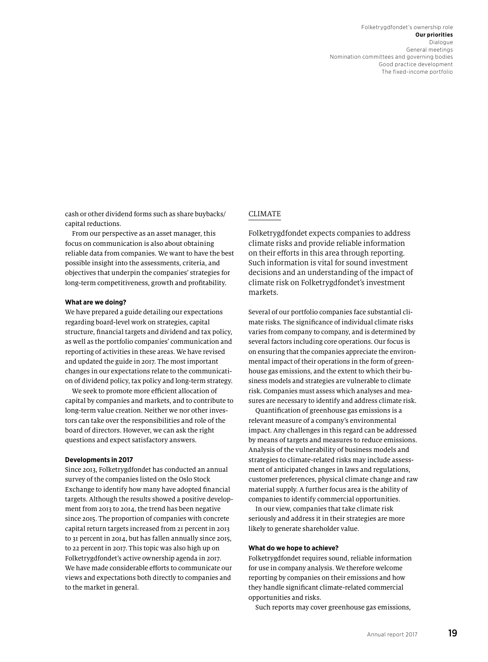cash or other dividend forms such as share buybacks/ capital reductions.

From our perspective as an asset manager, this focus on communication is also about obtaining reliable data from companies. We want to have the best possible insight into the assessments, criteria, and objectives that underpin the companies' strategies for long-term competitiveness, growth and profitability.

#### **What are we doing?**

We have prepared a guide detailing our expectations regarding board-level work on strategies, capital structure, financial targets and dividend and tax policy, as well as the portfolio companies' communication and reporting of activities in these areas. We have revised and updated the guide in 2017. The most important changes in our expectations relate to the communication of dividend policy, tax policy and long-term strategy.

We seek to promote more efficient allocation of capital by companies and markets, and to contribute to long-term value creation. Neither we nor other investors can take over the responsibilities and role of the board of directors. However, we can ask the right questions and expect satisfactory answers.

#### **Developments in 2017**

Since 2013, Folketrygdfondet has conducted an annual survey of the companies listed on the Oslo Stock Exchange to identify how many have adopted financial targets. Although the results showed a positive development from 2013 to 2014, the trend has been negative since 2015. The proportion of companies with concrete capital return targets increased from 21 percent in 2013 to 31 percent in 2014, but has fallen annually since 2015, to 22 percent in 2017. This topic was also high up on Folketrygdfondet's active ownership agenda in 2017. We have made considerable efforts to communicate our views and expectations both directly to companies and to the market in general.

#### CLIMATE

Folketrygdfondet expects companies to address climate risks and provide reliable information on their efforts in this area through reporting. Such information is vital for sound investment decisions and an understanding of the impact of climate risk on Folketrygdfondet's investment markets.

Several of our portfolio companies face substantial climate risks. The significance of individual climate risks varies from company to company, and is determined by several factors including core operations. Our focus is on ensuring that the companies appreciate the environmental impact of their operations in the form of greenhouse gas emissions, and the extent to which their business models and strategies are vulnerable to climate risk. Companies must assess which analyses and measures are necessary to identify and address climate risk.

Quantification of greenhouse gas emissions is a relevant measure of a company's environmental impact. Any challenges in this regard can be addressed by means of targets and measures to reduce emissions. Analysis of the vulnerability of business models and strategies to climate-related risks may include assessment of anticipated changes in laws and regulations, customer preferences, physical climate change and raw material supply. A further focus area is the ability of companies to identify commercial opportunities.

In our view, companies that take climate risk seriously and address it in their strategies are more likely to generate shareholder value.

#### **What do we hope to achieve?**

Folketrygdfondet requires sound, reliable information for use in company analysis. We therefore welcome reporting by companies on their emissions and how they handle significant climate-related commercial opportunities and risks.

Such reports may cover greenhouse gas emissions,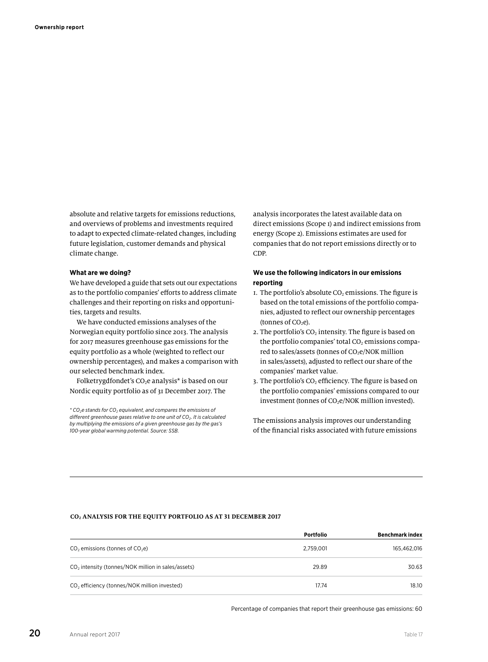absolute and relative targets for emissions reductions, and overviews of problems and investments required to adapt to expected climate-related changes, including future legislation, customer demands and physical climate change.

#### **What are we doing?**

We have developed a guide that sets out our expectations as to the portfolio companies' efforts to address climate challenges and their reporting on risks and opportunities, targets and results.

We have conducted emissions analyses of the Norwegian equity portfolio since 2013. The analysis for 2017 measures greenhouse gas emissions for the equity portfolio as a whole (weighted to reflect our ownership percentages), and makes a comparison with our selected benchmark index.

Folketrygdfondet's  $CO<sub>2</sub>e$  analysis\* is based on our Nordic equity portfolio as of 31 December 2017. The

*\* CO2e stands for CO2 equivalent, and compares the emissions of different greenhouse gases relative to one unit of CO2. It is calculated by multiplying the emissions of a given greenhouse gas by the gas's 100-year global warming potential. Source: SSB.*

analysis incorporates the latest available data on direct emissions (Scope 1) and indirect emissions from energy (Scope 2). Emissions estimates are used for companies that do not report emissions directly or to CDP.

#### **We use the following indicators in our emissions reporting**

- 1. The portfolio's absolute  $CO<sub>2</sub>$  emissions. The figure is based on the total emissions of the portfolio companies, adjusted to reflect our ownership percentages (tonnes of  $CO<sub>2</sub>e$ ).
- 2. The portfolio's  $CO<sub>2</sub>$  intensity. The figure is based on the portfolio companies' total  $CO<sub>2</sub>$  emissions compared to sales/assets (tonnes of  $CO<sub>2</sub>e/NOK$  million in sales/assets), adjusted to reflect our share of the companies' market value.
- 3. The portfolio's  $CO<sub>2</sub>$  efficiency. The figure is based on the portfolio companies' emissions compared to our investment (tonnes of  $CO<sub>2</sub>e/NOK$  million invested).

The emissions analysis improves our understanding of the financial risks associated with future emissions

#### **CO2 ANALYSIS FOR THE EQUITY PORTFOLIO AS AT 31 DECEMBER 2017**

|                                                          | Portfolio | <b>Benchmark index</b> |
|----------------------------------------------------------|-----------|------------------------|
| $CO$ , emissions (tonnes of $CO2e$ )                     | 2,759,001 | 165,462,016            |
| $CO2$ intensity (tonnes/NOK million in sales/assets)     | 29.89     | 30.63                  |
| CO <sub>2</sub> efficiency (tonnes/NOK million invested) | 17.74     | 18.10                  |

Percentage of companies that report their greenhouse gas emissions: 60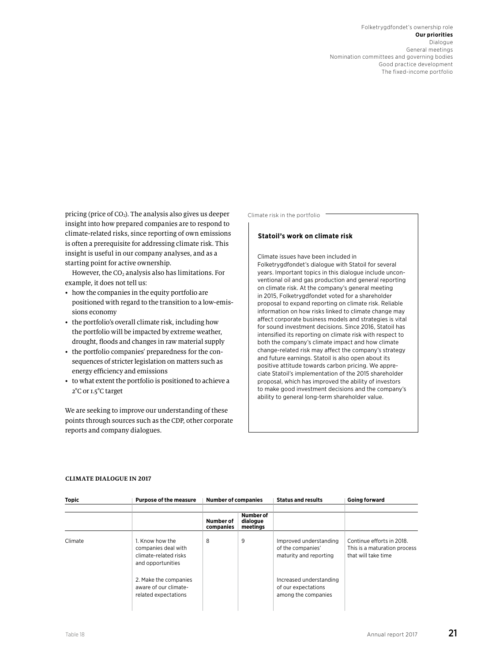pricing (price of  $CO<sub>2</sub>$ ). The analysis also gives us deeper insight into how prepared companies are to respond to climate-related risks, since reporting of own emissions is often a prerequisite for addressing climate risk. This insight is useful in our company analyses, and as a starting point for active ownership.

However, the  $CO<sub>2</sub>$  analysis also has limitations. For example, it does not tell us:

- how the companies in the equity portfolio are positioned with regard to the transition to a low-emissions economy
- the portfolio's overall climate risk, including how the portfolio will be impacted by extreme weather, drought, floods and changes in raw material supply
- the portfolio companies' preparedness for the consequences of stricter legislation on matters such as energy efficiency and emissions
- to what extent the portfolio is positioned to achieve a 2°C or 1.5°C target

We are seeking to improve our understanding of these points through sources such as the CDP, other corporate reports and company dialogues.

Climate risk in the portfolio

#### **Statoil's work on climate risk**

Climate issues have been included in Folketrygdfondet's dialogue with Statoil for several years. Important topics in this dialogue include unconventional oil and gas production and general reporting on climate risk. At the company's general meeting in 2015, Folketrygdfondet voted for a shareholder proposal to expand reporting on climate risk. Reliable information on how risks linked to climate change may affect corporate business models and strategies is vital for sound investment decisions. Since 2016, Statoil has intensified its reporting on climate risk with respect to both the company's climate impact and how climate change-related risk may affect the company's strategy and future earnings. Statoil is also open about its positive attitude towards carbon pricing. We appreciate Statoil's implementation of the 2015 shareholder proposal, which has improved the ability of investors to make good investment decisions and the company's ability to general long-term shareholder value.

| <b>Topic</b> | <b>Purpose of the measure</b>                                                        |                        | <b>Status and results</b><br><b>Number of companies</b> |                                                                       | <b>Going forward</b>                                                             |
|--------------|--------------------------------------------------------------------------------------|------------------------|---------------------------------------------------------|-----------------------------------------------------------------------|----------------------------------------------------------------------------------|
|              |                                                                                      | Number of<br>companies | Number of<br>dialogue<br>meetings                       |                                                                       |                                                                                  |
| Climate      | 1. Know how the<br>companies deal with<br>climate-related risks<br>and opportunities | 8                      | 9                                                       | Improved understanding<br>of the companies'<br>maturity and reporting | Continue efforts in 2018.<br>This is a maturation process<br>that will take time |
|              | 2. Make the companies<br>aware of our climate-<br>related expectations               |                        |                                                         | Increased understanding<br>of our expectations<br>among the companies |                                                                                  |

#### **CLIMATE DIALOGUE IN 2017**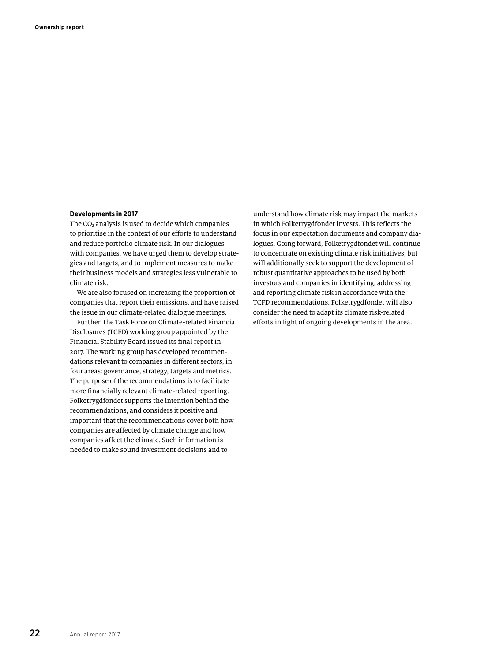#### **Developments in 2017**

The  $CO<sub>2</sub>$  analysis is used to decide which companies to prioritise in the context of our efforts to understand and reduce portfolio climate risk. In our dialogues with companies, we have urged them to develop strategies and targets, and to implement measures to make their business models and strategies less vulnerable to climate risk.

We are also focused on increasing the proportion of companies that report their emissions, and have raised the issue in our climate-related dialogue meetings.

Further, the Task Force on Climate-related Financial Disclosures (TCFD) working group appointed by the Financial Stability Board issued its final report in 2017. The working group has developed recommendations relevant to companies in different sectors, in four areas: governance, strategy, targets and metrics. The purpose of the recommendations is to facilitate more financially relevant climate-related reporting. Folketrygdfondet supports the intention behind the recommendations, and considers it positive and important that the recommendations cover both how companies are affected by climate change and how companies affect the climate. Such information is needed to make sound investment decisions and to

understand how climate risk may impact the markets in which Folketrygdfondet invests. This reflects the focus in our expectation documents and company dialogues. Going forward, Folketrygdfondet will continue to concentrate on existing climate risk initiatives, but will additionally seek to support the development of robust quantitative approaches to be used by both investors and companies in identifying, addressing and reporting climate risk in accordance with the TCFD recommendations. Folketrygdfondet will also consider the need to adapt its climate risk-related efforts in light of ongoing developments in the area.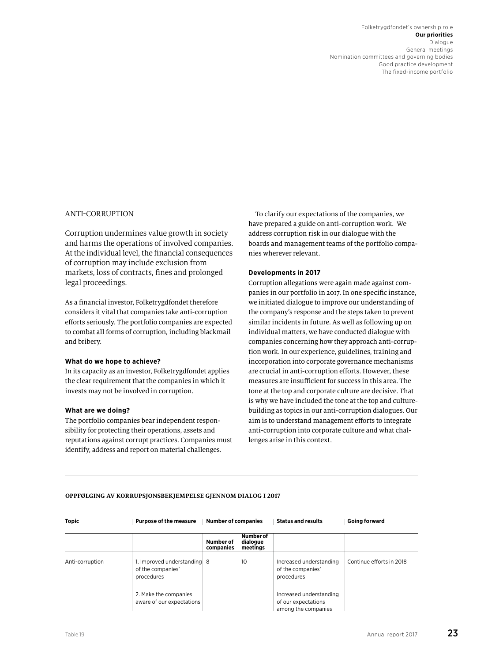#### ANTI-CORRUPTION

Corruption undermines value growth in society and harms the operations of involved companies. At the individual level, the financial consequences of corruption may include exclusion from markets, loss of contracts, fines and prolonged legal proceedings.

As a financial investor, Folketrygdfondet therefore considers it vital that companies take anti-corruption efforts seriously. The portfolio companies are expected to combat all forms of corruption, including blackmail and bribery.

#### **What do we hope to achieve?**

In its capacity as an investor, Folketrygdfondet applies the clear requirement that the companies in which it invests may not be involved in corruption.

#### **What are we doing?**

The portfolio companies bear independent responsibility for protecting their operations, assets and reputations against corrupt practices. Companies must identify, address and report on material challenges.

To clarify our expectations of the companies, we have prepared a guide on anti-corruption work. We address corruption risk in our dialogue with the boards and management teams of the portfolio companies wherever relevant.

#### **Developments in 2017**

Corruption allegations were again made against companies in our portfolio in 2017. In one specific instance, we initiated dialogue to improve our understanding of the company's response and the steps taken to prevent similar incidents in future. As well as following up on individual matters, we have conducted dialogue with companies concerning how they approach anti-corruption work. In our experience, guidelines, training and incorporation into corporate governance mechanisms are crucial in anti-corruption efforts. However, these measures are insufficient for success in this area. The tone at the top and corporate culture are decisive. That is why we have included the tone at the top and culturebuilding as topics in our anti-corruption dialogues. Our aim is to understand management efforts to integrate anti-corruption into corporate culture and what challenges arise in this context.

| Topic           | <b>Purpose of the measure</b>                                  | <b>Number of companies</b> |                                   | <b>Status and results</b><br><b>Going forward</b>                     |                          |
|-----------------|----------------------------------------------------------------|----------------------------|-----------------------------------|-----------------------------------------------------------------------|--------------------------|
|                 |                                                                | Number of<br>companies     | Number of<br>dialogue<br>meetings |                                                                       |                          |
| Anti-corruption | 1. Improved understanding 8<br>of the companies'<br>procedures |                            | 10                                | Increased understanding<br>of the companies'<br>procedures            | Continue efforts in 2018 |
|                 | 2. Make the companies<br>aware of our expectations             |                            |                                   | Increased understanding<br>of our expectations<br>among the companies |                          |

#### **OPPFØLGING AV KORRUPSJONSBEKJEMPELSE GJENNOM DIALOG I 2017**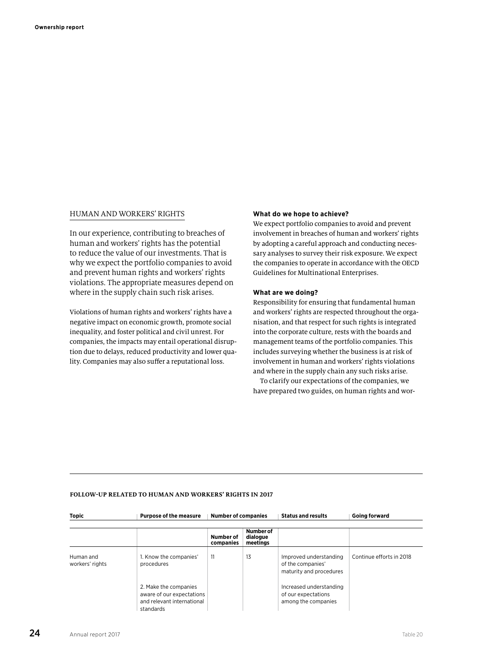#### HUMAN AND WORKERS' RIGHTS

In our experience, contributing to breaches of human and workers' rights has the potential to reduce the value of our investments. That is why we expect the portfolio companies to avoid and prevent human rights and workers' rights violations. The appropriate measures depend on where in the supply chain such risk arises.

Violations of human rights and workers' rights have a negative impact on economic growth, promote social inequality, and foster political and civil unrest. For companies, the impacts may entail operational disruption due to delays, reduced productivity and lower quality. Companies may also suffer a reputational loss.

#### **What do we hope to achieve?**

We expect portfolio companies to avoid and prevent involvement in breaches of human and workers' rights by adopting a careful approach and conducting necessary analyses to survey their risk exposure. We expect the companies to operate in accordance with the OECD Guidelines for Multinational Enterprises.

#### **What are we doing?**

Responsibility for ensuring that fundamental human and workers' rights are respected throughout the organisation, and that respect for such rights is integrated into the corporate culture, rests with the boards and management teams of the portfolio companies. This includes surveying whether the business is at risk of involvement in human and workers' rights violations and where in the supply chain any such risks arise.

To clarify our expectations of the companies, we have prepared two guides, on human rights and wor-

| <b>Topic</b>                 | <b>Purpose of the measure</b>                                                                 | <b>Number of companies</b> |                                   | <b>Status and results</b>                                              | <b>Going forward</b>     |
|------------------------------|-----------------------------------------------------------------------------------------------|----------------------------|-----------------------------------|------------------------------------------------------------------------|--------------------------|
|                              |                                                                                               | Number of<br>companies     | Number of<br>dialogue<br>meetings |                                                                        |                          |
| Human and<br>workers' rights | 1. Know the companies'<br>procedures                                                          | 11                         | 13                                | Improved understanding<br>of the companies'<br>maturity and procedures | Continue efforts in 2018 |
|                              | 2. Make the companies<br>aware of our expectations<br>and relevant international<br>standards |                            |                                   | Increased understanding<br>of our expectations<br>among the companies  |                          |

#### **FOLLOW-UP RELATED TO HUMAN AND WORKERS' RIGHTS IN 2017**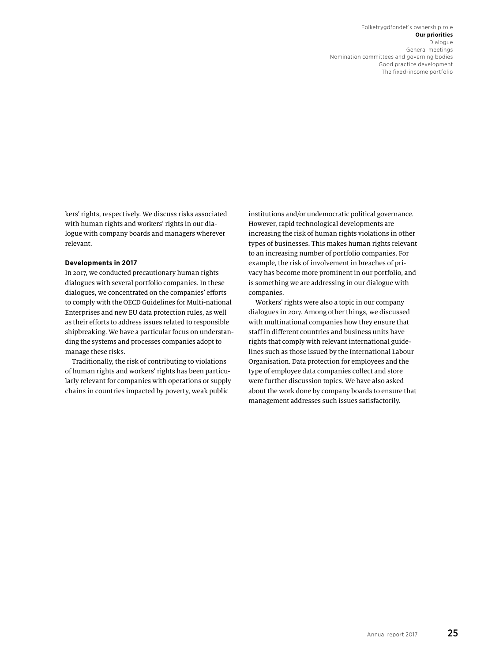kers' rights, respectively. We discuss risks associated with human rights and workers' rights in our dialogue with company boards and managers wherever relevant.

#### **Developments in 2017**

In 2017, we conducted precautionary human rights dialogues with several portfolio companies. In these dialogues, we concentrated on the companies' efforts to comply with the OECD Guidelines for Multi-national Enterprises and new EU data protection rules, as well as their efforts to address issues related to responsible shipbreaking. We have a particular focus on understanding the systems and processes companies adopt to manage these risks.

Traditionally, the risk of contributing to violations of human rights and workers' rights has been particularly relevant for companies with operations or supply chains in countries impacted by poverty, weak public

institutions and/or undemocratic political governance. However, rapid technological developments are increasing the risk of human rights violations in other types of businesses. This makes human rights relevant to an increasing number of portfolio companies. For example, the risk of involvement in breaches of privacy has become more prominent in our portfolio, and is something we are addressing in our dialogue with companies.

Workers' rights were also a topic in our company dialogues in 2017. Among other things, we discussed with multinational companies how they ensure that staff in different countries and business units have rights that comply with relevant international guidelines such as those issued by the International Labour Organisation. Data protection for employees and the type of employee data companies collect and store were further discussion topics. We have also asked about the work done by company boards to ensure that management addresses such issues satisfactorily.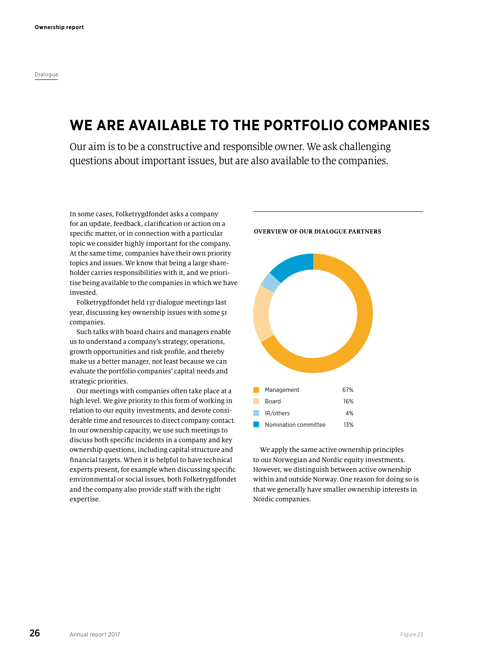### **WE ARE AVAILABLE TO THE PORTFOLIO COMPANIES**

Our aim is to be a constructive and responsible owner. We ask challenging questions about important issues, but are also available to the companies.

In some cases, Folketrygdfondet asks a company for an update, feedback, clarification or action on a specific matter, or in connection with a particular topic we consider highly important for the company. At the same time, companies have their own priority topics and issues. We know that being a large shareholder carries responsibilities with it, and we prioritise being available to the companies in which we have invested.

Folketrygdfondet held 137 dialogue meetings last year, discussing key ownership issues with some 51 companies.

Such talks with board chairs and managers enable us to understand a company's strategy, operations, growth opportunities and risk profile, and thereby make us a better manager, not least because we can evaluate the portfolio companies' capital needs and strategic priorities.

Our meetings with companies often take place at a high level. We give priority to this form of working in relation to our equity investments, and devote considerable time and resources to direct company contact. In our ownership capacity, we use such meetings to discuss both specific incidents in a company and key ownership questions, including capital structure and financial targets. When it is helpful to have technical experts present, for example when discussing specific environmental or social issues, both Folketrygdfondet and the company also provide staff with the right expertise.

#### **OVERVIEW OF OUR DIALOGUE PARTNERS**



We apply the same active ownership principles to our Norwegian and Nordic equity investments. However, we distinguish between active ownership within and outside Norway. One reason for doing so is that we generally have smaller ownership interests in Nordic companies.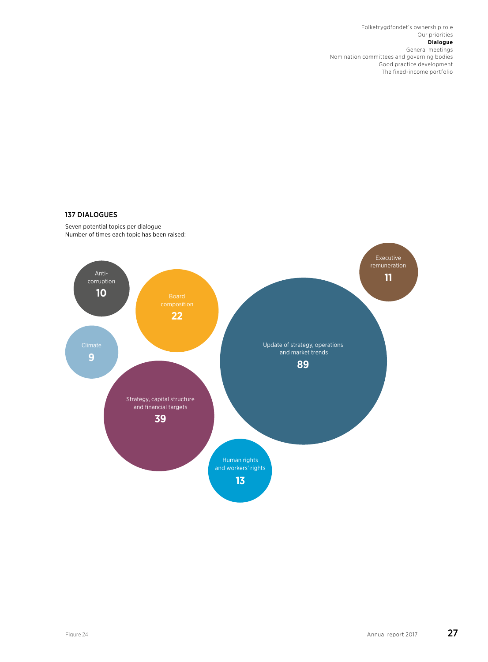Folketrygdfondet's ownership role Our priorities **Dialogue** General meetings Nomination committees and governing bodies Good practice development The fixed-income portfolio

#### 137 DIALOGUES

Seven potential topics per dialogue Number of times each topic has been raised:

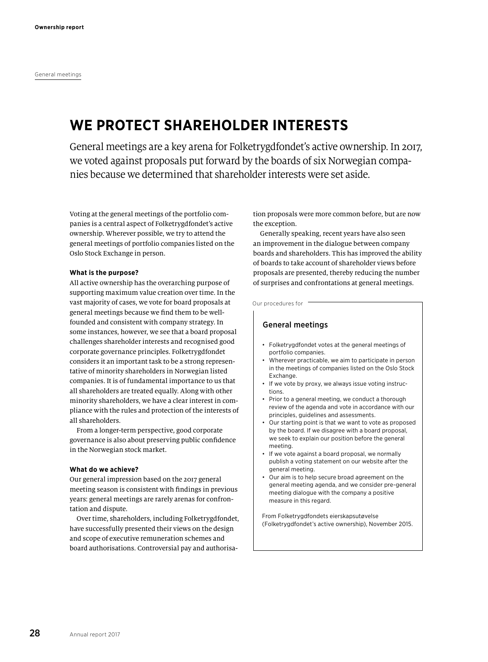# **WE PROTECT SHAREHOLDER INTERESTS**

General meetings are a key arena for Folketrygdfondet's active ownership. In 2017, we voted against proposals put forward by the boards of six Norwegian companies because we determined that shareholder interests were set aside.

Voting at the general meetings of the portfolio companies is a central aspect of Folketrygdfondet's active ownership. Wherever possible, we try to attend the general meetings of portfolio companies listed on the Oslo Stock Exchange in person.

#### **What is the purpose?**

All active ownership has the overarching purpose of supporting maximum value creation over time. In the vast majority of cases, we vote for board proposals at general meetings because we find them to be wellfounded and consistent with company strategy. In some instances, however, we see that a board proposal challenges shareholder interests and recognised good corporate governance principles. Folketrygdfondet considers it an important task to be a strong representative of minority shareholders in Norwegian listed companies. It is of fundamental importance to us that all shareholders are treated equally. Along with other minority shareholders, we have a clear interest in compliance with the rules and protection of the interests of all shareholders.

From a longer-term perspective, good corporate governance is also about preserving public confidence in the Norwegian stock market.

#### **What do we achieve?**

Our general impression based on the 2017 general meeting season is consistent with findings in previous years: general meetings are rarely arenas for confrontation and dispute.

Over time, shareholders, including Folketrygdfondet, have successfully presented their views on the design and scope of executive remuneration schemes and board authorisations. Controversial pay and authorisation proposals were more common before, but are now the exception.

Generally speaking, recent years have also seen an improvement in the dialogue between company boards and shareholders. This has improved the ability of boards to take account of shareholder views before proposals are presented, thereby reducing the number of surprises and confrontations at general meetings.

Our procedures for

#### General meetings

- Folketrygdfondet votes at the general meetings of portfolio companies.
- Wherever practicable, we aim to participate in person in the meetings of companies listed on the Oslo Stock Exchange.
- If we vote by proxy, we always issue voting instructions.
- Prior to a general meeting, we conduct a thorough review of the agenda and vote in accordance with our principles, guidelines and assessments.
- Our starting point is that we want to vote as proposed by the board. If we disagree with a board proposal, we seek to explain our position before the general meeting.
- If we vote against a board proposal, we normally publish a voting statement on our website after the general meeting.
- Our aim is to help secure broad agreement on the general meeting agenda, and we consider pre-general meeting dialogue with the company a positive measure in this regard.

From Folketrygdfondets eierskapsutøvelse (Folketrygdfondet's active ownership), November 2015.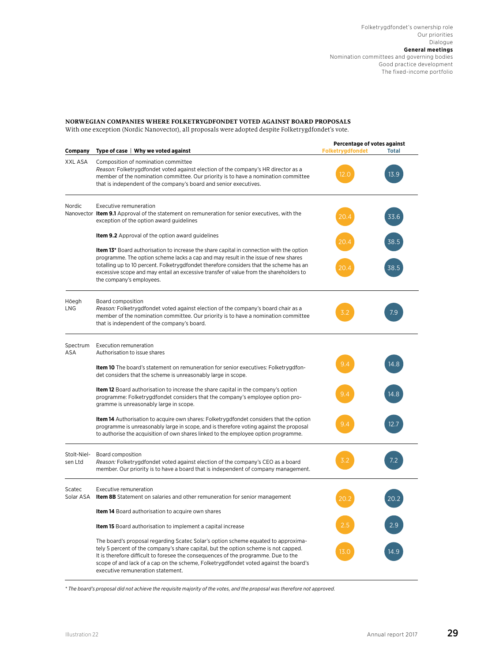#### **NORWEGIAN COMPANIES WHERE FOLKETRYGDFONDET VOTED AGAINST BOARD PROPOSALS**

With one exception (Nordic Nanovector), all proposals were adopted despite Folketrygdfondet's vote.

| Company                | Type of case $\mid$ Why we voted against                                                                                                                                                                                                                                                                                                                                                               | Percentage of votes against<br><b>Folketrygdfondet</b> | Total |
|------------------------|--------------------------------------------------------------------------------------------------------------------------------------------------------------------------------------------------------------------------------------------------------------------------------------------------------------------------------------------------------------------------------------------------------|--------------------------------------------------------|-------|
| XXL ASA                | Composition of nomination committee<br>Reason: Folketrygdfondet voted against election of the company's HR director as a<br>member of the nomination committee. Our priority is to have a nomination committee<br>that is independent of the company's board and senior executives.                                                                                                                    |                                                        |       |
| Nordic                 | Executive remuneration<br>Nanovector <b>Item 9.1</b> Approval of the statement on remuneration for senior executives, with the<br>exception of the option award guidelines                                                                                                                                                                                                                             |                                                        |       |
|                        | <b>Item 9.2</b> Approval of the option award guidelines                                                                                                                                                                                                                                                                                                                                                |                                                        |       |
|                        | <b>Item 13*</b> Board authorisation to increase the share capital in connection with the option<br>programme. The option scheme lacks a cap and may result in the issue of new shares<br>totalling up to 10 percent. Folketrygdfondet therefore considers that the scheme has an<br>excessive scope and may entail an excessive transfer of value from the shareholders to<br>the company's employees. |                                                        |       |
| Höegh<br>LNG           | Board composition<br><i>Reason:</i> Folketrygdfondet voted against election of the company's board chair as a<br>member of the nomination committee. Our priority is to have a nomination committee<br>that is independent of the company's board.                                                                                                                                                     |                                                        |       |
| Spectrum<br>ASA        | Execution remuneration<br>Authorisation to issue shares                                                                                                                                                                                                                                                                                                                                                |                                                        |       |
|                        | <b>Item 10</b> The board's statement on remuneration for senior executives: Folketrygdfon-<br>det considers that the scheme is unreasonably large in scope.                                                                                                                                                                                                                                            |                                                        |       |
|                        | <b>Item 12</b> Board authorisation to increase the share capital in the company's option<br>programme: Folketrygdfondet considers that the company's employee option pro-<br>gramme is unreasonably large in scope.                                                                                                                                                                                    |                                                        |       |
|                        | <b>Item 14</b> Authorisation to acquire own shares: Folketrygdfondet considers that the option<br>programme is unreasonably large in scope, and is therefore voting against the proposal<br>to authorise the acquisition of own shares linked to the employee option programme.                                                                                                                        |                                                        |       |
| Stolt-Niel-<br>sen Ltd | Board composition<br>Reason: Folketrygdfondet voted against election of the company's CEO as a board<br>member. Our priority is to have a board that is independent of company management.                                                                                                                                                                                                             |                                                        |       |
| Scatec<br>Solar ASA    | Executive remuneration<br><b>Item 8B</b> Statement on salaries and other remuneration for senior management                                                                                                                                                                                                                                                                                            |                                                        |       |
|                        | <b>Item 14</b> Board authorisation to acquire own shares                                                                                                                                                                                                                                                                                                                                               |                                                        |       |
|                        | <b>Item 15</b> Board authorisation to implement a capital increase                                                                                                                                                                                                                                                                                                                                     |                                                        |       |
|                        | The board's proposal regarding Scatec Solar's option scheme equated to approxima-<br>tely 5 percent of the company's share capital, but the option scheme is not capped.<br>It is therefore difficult to foresee the consequences of the programme. Due to the<br>scope of and lack of a cap on the scheme, Folketrygdfondet voted against the board's<br>executive remuneration statement.            | 13.0                                                   |       |

*\* The board's proposal did not achieve the requisite majority of the votes, and the proposal was therefore not approved.*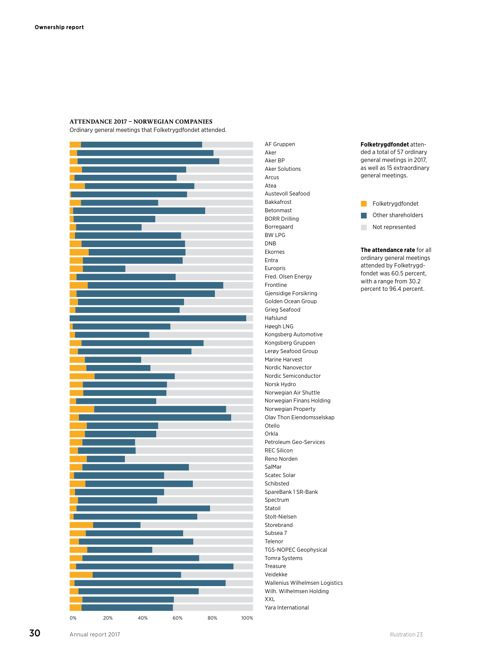#### **ATTENDANCE 2017 – NORWEGIAN COMPANIES**

Ordinary general meetings that Folketrygdfondet attended.



Aker Aker BP Aker Solutions Arcus Atea Austevoll Seafood Bakkafrost Betonmast BORR Drilling Borregaard BW LPG DNB Ekornes Entra Europris Fred. Olsen Energy Frontline Gjensidige Forsikring Golden Ocean Group Grieg Seafood Hafslund Høegh LNG Kongsberg Automotive Kongsberg Gruppen Lerøy Seafood Group Marine Harvest Nordic Nanovector Nordic Semiconductor Norsk Hydro Norwegian Air Shuttle Norwegian Finans Holding Norwegian Property Olav Thon Eiendomsselskap Otello Orkla Petroleum Geo-Services REC Silicon Reno Norden SalMar Scatec Solar Schibsted SpareBank 1 SR-Bank Spectrum Statoil Stolt-Nielsen Storebrand Subsea 7 Telenor TGS-NOPEC Geophysical Tomra Systems Treasure Veidekke Wallenius Wilhelmsen Logistics Wilh. Wilhelmsen Holding XXL Yara International



**Folketrygdfondet** atten-



**The attendance rate** for all ordinary general meetings attended by Folketrygdfondet was 60.5 percent, with a range from 30.2 percent to 96.4 percent.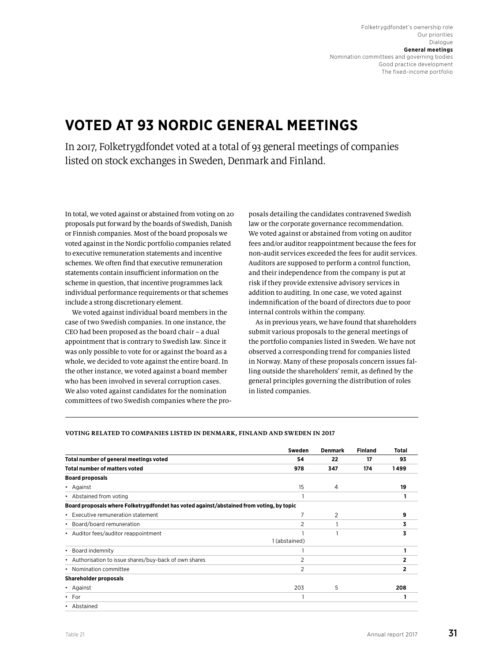# **VOTED AT 93 NORDIC GENERAL MEETINGS**

In 2017, Folketrygdfondet voted at a total of 93 general meetings of companies listed on stock exchanges in Sweden, Denmark and Finland.

In total, we voted against or abstained from voting on 20 proposals put forward by the boards of Swedish, Danish or Finnish companies. Most of the board proposals we voted against in the Nordic portfolio companies related to executive remuneration statements and incentive schemes. We often find that executive remuneration statements contain insufficient information on the scheme in question, that incentive programmes lack individual performance requirements or that schemes include a strong discretionary element.

We voted against individual board members in the case of two Swedish companies. In one instance, the CEO had been proposed as the board chair – a dual appointment that is contrary to Swedish law. Since it was only possible to vote for or against the board as a whole, we decided to vote against the entire board. In the other instance, we voted against a board member who has been involved in several corruption cases. We also voted against candidates for the nomination committees of two Swedish companies where the pro-

posals detailing the candidates contravened Swedish law or the corporate governance recommendation. We voted against or abstained from voting on auditor fees and/or auditor reappointment because the fees for non-audit services exceeded the fees for audit services. Auditors are supposed to perform a control function, and their independence from the company is put at risk if they provide extensive advisory services in addition to auditing. In one case, we voted against indemnification of the board of directors due to poor internal controls within the company.

As in previous years, we have found that shareholders submit various proposals to the general meetings of the portfolio companies listed in Sweden. We have not observed a corresponding trend for companies listed in Norway. Many of these proposals concern issues falling outside the shareholders' remit, as defined by the general principles governing the distribution of roles in listed companies.

#### **VOTING RELATED TO COMPANIES LISTED IN DENMARK, FINLAND AND SWEDEN IN 2017**

|                                                                                          | Sweden        | Denmark | <b>Finland</b> | <b>Total</b> |  |
|------------------------------------------------------------------------------------------|---------------|---------|----------------|--------------|--|
| Total number of general meetings voted                                                   | 54            | 22      | 17             | 93           |  |
| <b>Total number of matters voted</b>                                                     | 978           | 347     | 174            | 1499         |  |
| <b>Board proposals</b>                                                                   |               |         |                |              |  |
| • Against                                                                                | 15            | 4       |                | 19           |  |
| • Abstained from voting                                                                  |               |         |                |              |  |
| Board proposals where Folketrygdfondet has voted against/abstained from voting, by topic |               |         |                |              |  |
| • Executive remuneration statement                                                       | 7             | 2       |                | 9            |  |
| • Board/board remuneration                                                               | 2             |         |                | 3            |  |
| • Auditor fees/auditor reappointment                                                     |               |         |                | 3            |  |
|                                                                                          | 1 (abstained) |         |                |              |  |
| • Board indemnity                                                                        |               |         |                |              |  |
| • Authorisation to issue shares/buy-back of own shares                                   | 2             |         |                |              |  |
| • Nomination committee                                                                   | 2             |         |                | 2            |  |
| <b>Shareholder proposals</b>                                                             |               |         |                |              |  |
| • Against                                                                                | 203           | 5       |                | 208          |  |
| $\cdot$ For                                                                              |               |         |                |              |  |
| • Abstained                                                                              |               |         |                |              |  |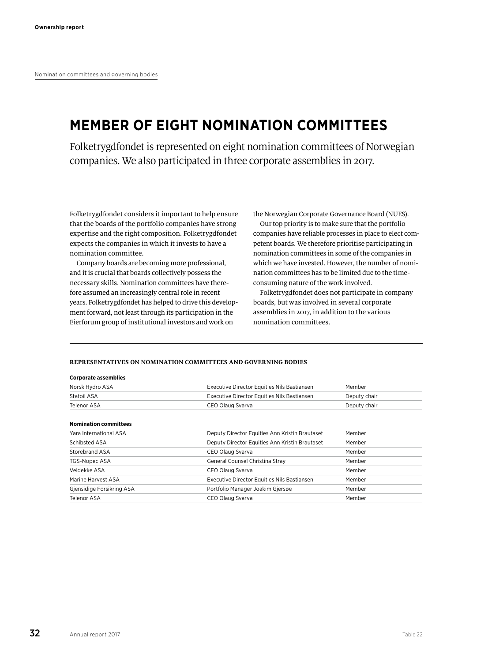### **MEMBER OF EIGHT NOMINATION COMMITTEES**

Folketrygdfondet is represented on eight nomination committees of Norwegian companies. We also participated in three corporate assemblies in 2017.

Folketrygdfondet considers it important to help ensure that the boards of the portfolio companies have strong expertise and the right composition. Folketrygdfondet expects the companies in which it invests to have a nomination committee.

Company boards are becoming more professional, and it is crucial that boards collectively possess the necessary skills. Nomination committees have therefore assumed an increasingly central role in recent years. Folketrygdfondet has helped to drive this development forward, not least through its participation in the Eierforum group of institutional investors and work on

the Norwegian Corporate Governance Board (NUES).

Our top priority is to make sure that the portfolio companies have reliable processes in place to elect competent boards. We therefore prioritise participating in nomination committees in some of the companies in which we have invested. However, the number of nomination committees has to be limited due to the timeconsuming nature of the work involved.

Folketrygdfondet does not participate in company boards, but was involved in several corporate assemblies in 2017, in addition to the various nomination committees.

#### **REPRESENTATIVES ON NOMINATION COMMITTEES AND GOVERNING BODIES**

| <b>Corporate assemblies</b>  |                                                |              |
|------------------------------|------------------------------------------------|--------------|
| Norsk Hydro ASA              | Executive Director Equities Nils Bastiansen    | Member       |
| Statoil ASA                  | Executive Director Equities Nils Bastiansen    | Deputy chair |
| Telenor ASA                  | CEO Olaug Svarva                               | Deputy chair |
| <b>Nomination committees</b> |                                                |              |
| Yara International ASA       | Deputy Director Equities Ann Kristin Brautaset | Member       |
| Schibsted ASA                | Deputy Director Equities Ann Kristin Brautaset | Member       |
| Storebrand ASA               | CEO Olaug Svarva                               | Member       |
| TGS-Nopec ASA                | General Counsel Christina Stray                | Member       |
| Veidekke ASA                 | CEO Olaug Svarva                               | Member       |
| Marine Harvest ASA           | Executive Director Equities Nils Bastiansen    | Member       |
| Gjensidige Forsikring ASA    | Portfolio Manager Joakim Gjersøe               | Member       |
| Telenor ASA                  | CEO Olaug Svarva                               | Member       |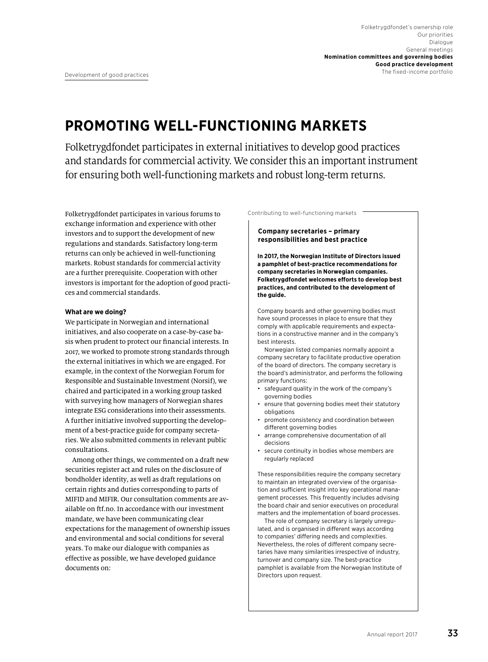# **PROMOTING WELL-FUNCTIONING MARKETS**

Folketrygdfondet participates in external initiatives to develop good practices and standards for commercial activity. We consider this an important instrument for ensuring both well-functioning markets and robust long-term returns.

Folketrygdfondet participates in various forums to exchange information and experience with other investors and to support the development of new regulations and standards. Satisfactory long-term returns can only be achieved in well-functioning markets. Robust standards for commercial activity are a further prerequisite. Cooperation with other investors is important for the adoption of good practices and commercial standards.

#### **What are we doing?**

We participate in Norwegian and international initiatives, and also cooperate on a case-by-case basis when prudent to protect our financial interests. In 2017, we worked to promote strong standards through the external initiatives in which we are engaged. For example, in the context of the Norwegian Forum for Responsible and Sustainable Investment (Norsif), we chaired and participated in a working group tasked with surveying how managers of Norwegian shares integrate ESG considerations into their assessments. A further initiative involved supporting the development of a best-practice guide for company secretaries. We also submitted comments in relevant public consultations.

Among other things, we commented on a draft new securities register act and rules on the disclosure of bondholder identity, as well as draft regulations on certain rights and duties corresponding to parts of MIFID and MIFIR. Our consultation comments are available on ftf.no. In accordance with our investment mandate, we have been communicating clear expectations for the management of ownership issues and environmental and social conditions for several years. To make our dialogue with companies as effective as possible, we have developed guidance documents on:

Contributing to well-functioning markets

#### **Company secretaries – primary responsibilities and best practice**

**In 2017, the Norwegian Institute of Directors issued a pamphlet of best-practice recommendations for company secretaries in Norwegian companies. Folketrygdfondet welcomes efforts to develop best practices, and contributed to the development of the guide.**

Company boards and other governing bodies must have sound processes in place to ensure that they comply with applicable requirements and expectations in a constructive manner and in the company's best interests.

Norwegian listed companies normally appoint a company secretary to facilitate productive operation of the board of directors. The company secretary is the board's administrator, and performs the following primary functions:

- safeguard quality in the work of the company's governing bodies
- ensure that governing bodies meet their statutory obligations
- promote consistency and coordination between different governing bodies
- arrange comprehensive documentation of all decisions
- secure continuity in bodies whose members are regularly replaced

These responsibilities require the company secretary to maintain an integrated overview of the organisation and sufficient insight into key operational management processes. This frequently includes advising the board chair and senior executives on procedural matters and the implementation of board processes.

The role of company secretary is largely unregulated, and is organised in different ways according to companies' differing needs and complexities. Nevertheless, the roles of different company secretaries have many similarities irrespective of industry, turnover and company size. The best-practice pamphlet is available from the Norwegian Institute of Directors upon request.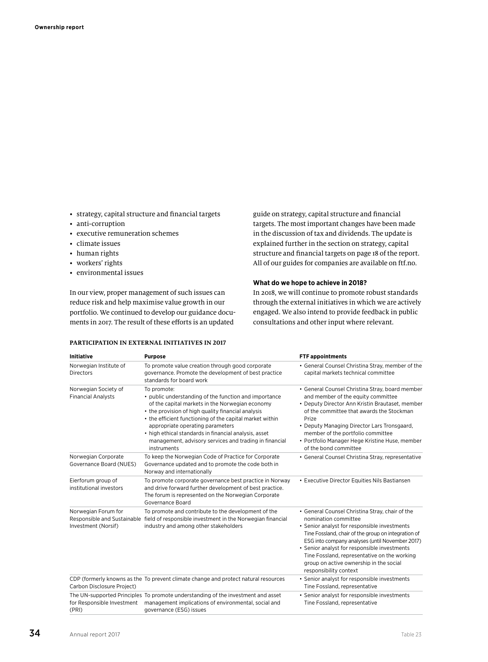- strategy, capital structure and financial targets
- anti-corruption
- executive remuneration schemes
- climate issues
- human rights
- workers' rights
- environmental issues

In our view, proper management of such issues can reduce risk and help maximise value growth in our portfolio. We continued to develop our guidance documents in 2017. The result of these efforts is an updated

#### **PARTICIPATION IN EXTERNAL INITIATIVES IN 2017**

guide on strategy, capital structure and financial targets. The most important changes have been made in the discussion of tax and dividends. The update is explained further in the section on strategy, capital structure and financial targets on page 18 of the report. All of our guides for companies are available on ftf.no.

#### **What do we hope to achieve in 2018?**

In 2018, we will continue to promote robust standards through the external initiatives in which we are actively engaged. We also intend to provide feedback in public consultations and other input where relevant.

| <b>Initiative</b>                                 | <b>Purpose</b>                                                                                                                                                                                                                                                                                                                                                                                                  | <b>FTF appointments</b>                                                                                                                                                                                                                                                                                                                                                                                |
|---------------------------------------------------|-----------------------------------------------------------------------------------------------------------------------------------------------------------------------------------------------------------------------------------------------------------------------------------------------------------------------------------------------------------------------------------------------------------------|--------------------------------------------------------------------------------------------------------------------------------------------------------------------------------------------------------------------------------------------------------------------------------------------------------------------------------------------------------------------------------------------------------|
| Norwegian Institute of<br><b>Directors</b>        | To promote value creation through good corporate<br>governance. Promote the development of best practice<br>standards for board work                                                                                                                                                                                                                                                                            | • General Counsel Christina Stray, member of the<br>capital markets technical committee                                                                                                                                                                                                                                                                                                                |
| Norwegian Society of<br><b>Financial Analysts</b> | To promote:<br>• public understanding of the function and importance<br>of the capital markets in the Norwegian economy<br>• the provision of high quality financial analysis<br>• the efficient functioning of the capital market within<br>appropriate operating parameters<br>• high ethical standards in financial analysis, asset<br>management, advisory services and trading in financial<br>instruments | • General Counsel Christina Stray, board member<br>and member of the equity committee<br>• Deputy Director Ann Kristin Brautaset, member<br>of the committee that awards the Stockman<br>Prize<br>• Deputy Managing Director Lars Tronsgaard,<br>member of the portfolio committee<br>• Portfolio Manager Hege Kristine Huse, member<br>of the bond committee                                          |
| Norwegian Corporate<br>Governance Board (NUES)    | To keep the Norwegian Code of Practice for Corporate<br>Governance updated and to promote the code both in<br>Norway and internationally                                                                                                                                                                                                                                                                        | • General Counsel Christina Stray, representative                                                                                                                                                                                                                                                                                                                                                      |
| Eierforum group of<br>institutional investors     | To promote corporate governance best practice in Norway<br>and drive forward further development of best practice.<br>The forum is represented on the Norwegian Corporate<br>Governance Board                                                                                                                                                                                                                   | • Executive Director Equities Nils Bastiansen                                                                                                                                                                                                                                                                                                                                                          |
| Norwegian Forum for<br>Investment (Norsif)        | To promote and contribute to the development of the<br>Responsible and Sustainable field of responsible investment in the Norwegian financial<br>industry and among other stakeholders                                                                                                                                                                                                                          | • General Counsel Christina Stray, chair of the<br>nomination committee<br>• Senior analyst for responsible investments<br>Tine Fossland, chair of the group on integration of<br>ESG into company analyses (until November 2017)<br>• Senior analyst for responsible investments<br>Tine Fossland, representative on the working<br>group on active ownership in the social<br>responsibility context |
| Carbon Disclosure Project)                        | CDP (formerly knowns as the To prevent climate change and protect natural resources                                                                                                                                                                                                                                                                                                                             | • Senior analyst for responsible investments<br>Tine Fossland, representative                                                                                                                                                                                                                                                                                                                          |
| for Responsible Investment<br>(PRI)               | The UN-supported Principles To promote understanding of the investment and asset<br>management implications of environmental, social and<br>governance (ESG) issues                                                                                                                                                                                                                                             | • Senior analyst for responsible investments<br>Tine Fossland, representative                                                                                                                                                                                                                                                                                                                          |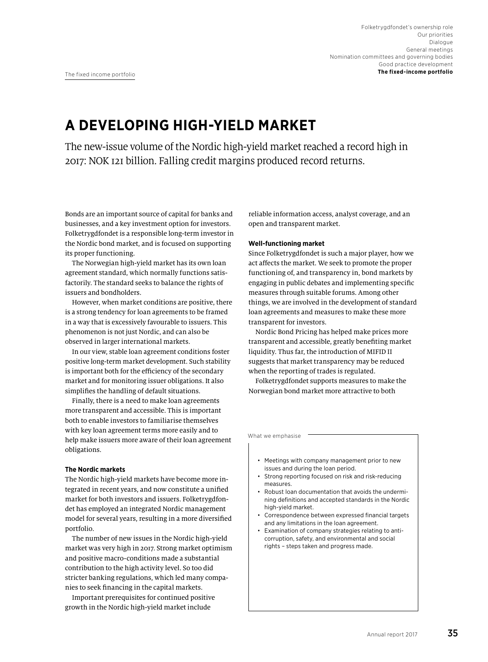# **A DEVELOPING HIGH-YIELD MARKET**

The new-issue volume of the Nordic high-yield market reached a record high in 2017: NOK 121 billion. Falling credit margins produced record returns.

Bonds are an important source of capital for banks and businesses, and a key investment option for investors. Folketrygdfondet is a responsible long-term investor in the Nordic bond market, and is focused on supporting its proper functioning.

The Norwegian high-yield market has its own loan agreement standard, which normally functions satisfactorily. The standard seeks to balance the rights of issuers and bondholders.

However, when market conditions are positive, there is a strong tendency for loan agreements to be framed in a way that is excessively favourable to issuers. This phenomenon is not just Nordic, and can also be observed in larger international markets.

In our view, stable loan agreement conditions foster positive long-term market development. Such stability is important both for the efficiency of the secondary market and for monitoring issuer obligations. It also simplifies the handling of default situations.

Finally, there is a need to make loan agreements more transparent and accessible. This is important both to enable investors to familiarise themselves with key loan agreement terms more easily and to help make issuers more aware of their loan agreement obligations.

#### **The Nordic markets**

The Nordic high-yield markets have become more integrated in recent years, and now constitute a unified market for both investors and issuers. Folketrygdfondet has employed an integrated Nordic management model for several years, resulting in a more diversified portfolio.

The number of new issues in the Nordic high-yield market was very high in 2017. Strong market optimism and positive macro-conditions made a substantial contribution to the high activity level. So too did stricter banking regulations, which led many companies to seek financing in the capital markets.

Important prerequisites for continued positive growth in the Nordic high-yield market include

reliable information access, analyst coverage, and an open and transparent market.

#### **Well-functioning market**

Since Folketrygdfondet is such a major player, how we act affects the market. We seek to promote the proper functioning of, and transparency in, bond markets by engaging in public debates and implementing specific measures through suitable forums. Among other things, we are involved in the development of standard loan agreements and measures to make these more transparent for investors.

Nordic Bond Pricing has helped make prices more transparent and accessible, greatly benefiting market liquidity. Thus far, the introduction of MIFID II suggests that market transparency may be reduced when the reporting of trades is regulated.

Folketrygdfondet supports measures to make the Norwegian bond market more attractive to both

- What we emphasise
	- Meetings with company management prior to new issues and during the loan period.
	- Strong reporting focused on risk and risk-reducing measures.
	- Robust loan documentation that avoids the undermining definitions and accepted standards in the Nordic high-yield market.
	- Correspondence between expressed financial targets and any limitations in the loan agreement.
	- Examination of company strategies relating to anticorruption, safety, and environmental and social rights – steps taken and progress made.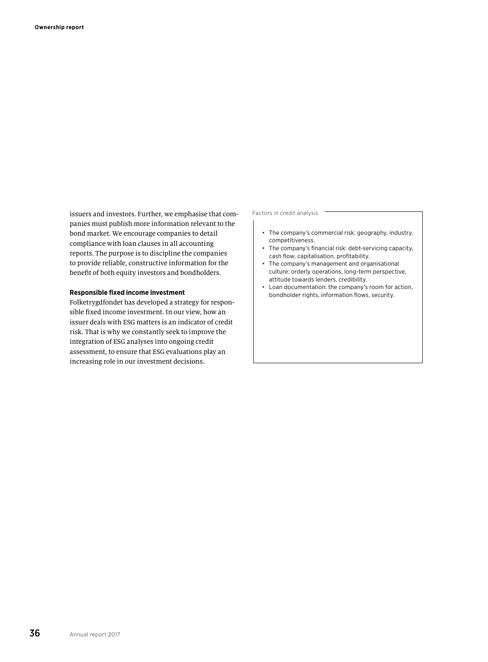issuers and investors. Further, we emphasise that companies must publish more information relevant to the bond market. We encourage companies to detail compliance with loan clauses in all accounting reports. The purpose is to discipline the companies to provide reliable, constructive information for the benefit of both equity investors and bondholders.

#### **Responsible fixed income investment**

Folketrygdfondet has developed a strategy for responsible fixed income investment. In our view, how an issuer deals with ESG matters is an indicator of credit risk. That is why we constantly seek to improve the integration of ESG analyses into ongoing credit assessment, to ensure that ESG evaluations play an increasing role in our investment decisions.

#### Factors in credit analysis

- The company's commercial risk: geography, industry, competitiveness.
- The company's financial risk: debt-servicing capacity, cash flow, capitalisation, profitability.
- The company's management and organisational culture: orderly operations, long-term perspective, attitude towards lenders, credibility.
- Loan documentation: the company's room for action, bondholder rights, information flows, security.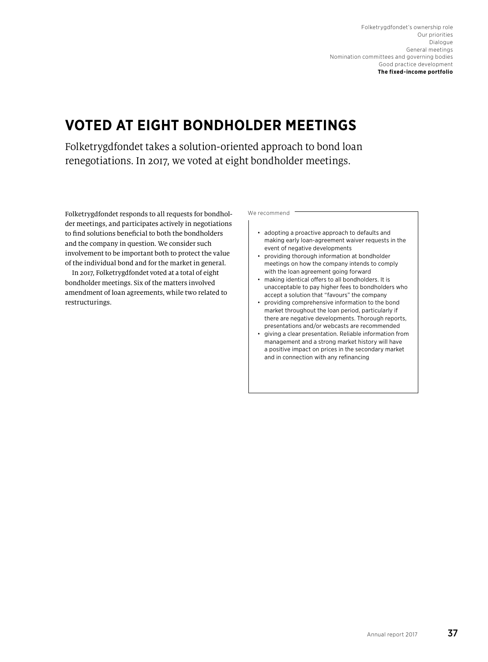Folketrygdfondet's ownership role Our priorities Dialogue General meetings Nomination committees and governing bodies Good practice development **The fixed-income portfolio**

# **VOTED AT EIGHT BONDHOLDER MEETINGS**

Folketrygdfondet takes a solution-oriented approach to bond loan renegotiations. In 2017, we voted at eight bondholder meetings.

Folketrygdfondet responds to all requests for bondholder meetings, and participates actively in negotiations to find solutions beneficial to both the bondholders and the company in question. We consider such involvement to be important both to protect the value of the individual bond and for the market in general.

In 2017, Folketrygdfondet voted at a total of eight bondholder meetings. Six of the matters involved amendment of loan agreements, while two related to restructurings.

#### We recommend

- adopting a proactive approach to defaults and making early loan-agreement waiver requests in the event of negative developments
- providing thorough information at bondholder meetings on how the company intends to comply with the loan agreement going forward
- making identical offers to all bondholders. It is unacceptable to pay higher fees to bondholders who accept a solution that "favours" the company
- providing comprehensive information to the bond market throughout the loan period, particularly if there are negative developments. Thorough reports, presentations and/or webcasts are recommended
- giving a clear presentation. Reliable information from management and a strong market history will have a positive impact on prices in the secondary market and in connection with any refinancing